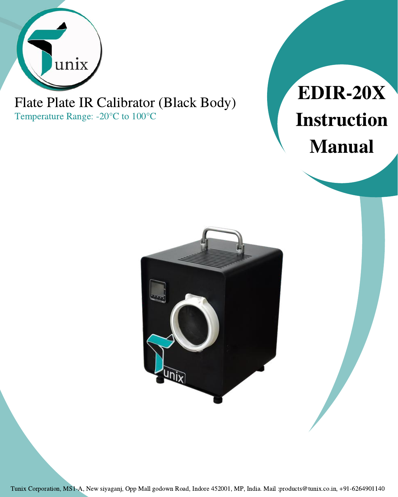

# Flate Plate IR Calibrator (Black Body) Temperature Range: -20°C to 100°C

# EDIR-20X Instruction Manual

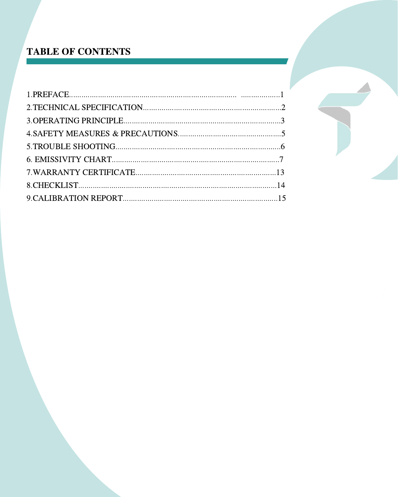# **TABLE OF CONTENTS**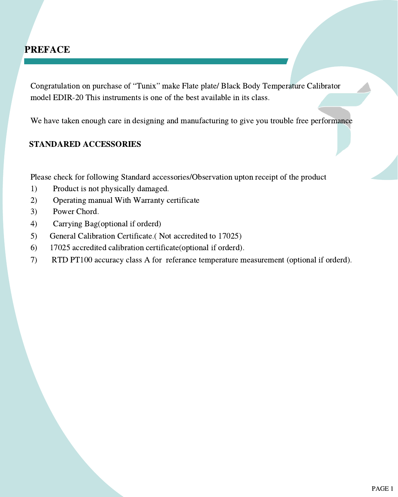#### **PREFACE**

Congratulation on purchase of "Tunix" make Flate plate/ Black Body Temperature Calibrator model EDIR-20 This instruments is one of the best available in its class.

We have taken enough care in designing and manufacturing to give you trouble free performance

#### STANDARED ACCESSORIES

Please check for following Standard accessories/Observation upton receipt of the product

- 1) Product is not physically damaged.
- 2) Operating manual With Warranty certificate
- 3) Power Chord.
- 4) Carrying Bag(optional if orderd)
- 5) General Calibration Certificate.( Not accredited to 17025)
- 6) 17025 accredited calibration certificate(optional if orderd).
- 7) RTD PT100 accuracy class A for referance temperature measurement (optional if orderd).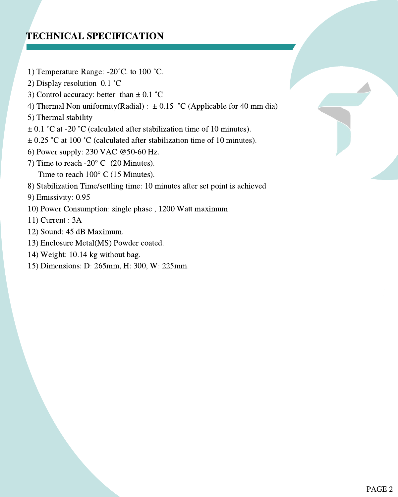## TECHNICAL SPECIFICATION

- 1) Temperature Range: -20˚C. to 100 ˚C.
- 2) Display resolution 0.1 ˚C
- 3) Control accuracy: better than  $\pm$  0.1 °C
- 4) Thermal Non uniformity(Radial) :  $\pm 0.15$  °C (Applicable for 40 mm dia)
- 5) Thermal stability
- $\pm$  0.1 °C at -20 °C (calculated after stabilization time of 10 minutes).
- $\pm$  0.25 °C at 100 °C (calculated after stabilization time of 10 minutes).
- 6) Power supply: 230 VAC @50-60 Hz.
- 7) Time to reach -20° C (20 Minutes).
	- Time to reach  $100^{\circ}$  C (15 Minutes).
- 8) Stabilization Time/settling time: 10 minutes after set point is achieved

9) Emissivity: 0.95

- 10) Power Consumption: single phase , 1200 Watt maximum.
- 11) Current : 3A
- 12) Sound: 45 dB Maximum.
- 13) Enclosure Metal(MS) Powder coated.
- 14) Weight: 10.14 kg without bag.
- 15) Dimensions: D: 265mm, H: 300, W: 225mm.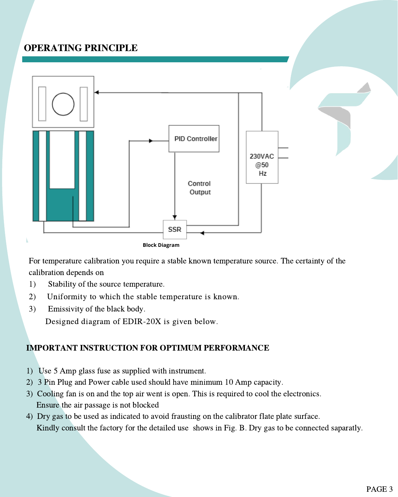#### OPERATING PRINCIPLE



For temperature calibration you require a stable known temperature source. The certainty of the calibration depends on

- 1) Stability of the source temperature.
- 2) Uniformity to which the stable temperature is known.
- 3) Emissivity of the black body.

Designed diagram of EDIR-20X is given below.

#### IMPORTANT INSTRUCTION FOR OPTIMUM PERFORMANCE

- 1) Use 5 Amp glass fuse as supplied with instrument.
- 2) 3 Pin Plug and Power cable used should have minimum 10 Amp capacity.
- 3) Cooling fan is on and the top air went is open. This is required to cool the electronics. Ensure the air passage is not blocked
- 4) Dry gas to be used as indicated to avoid frausting on the calibrator flate plate surface. Kindly consult the factory for the detailed use shows in Fig. B. Dry gas to be connected saparatly.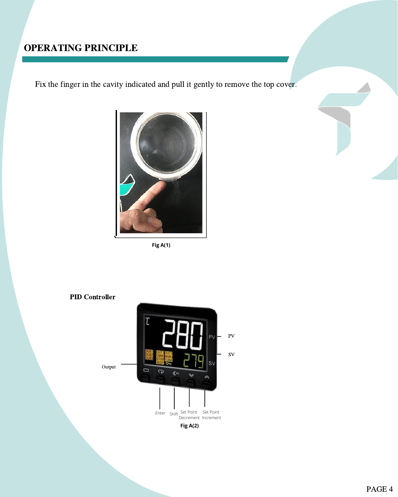#### OPERATING PRINCIPLE

Fix the finger in the cavity indicated and pull it gently to remove the top cover.



**Fig A(1)**

#### PID Controller

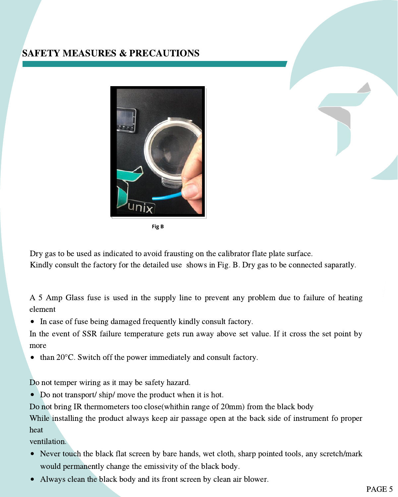#### SAFETY MEASURES & PRECAUTIONS



**Fig B**

Dry gas to be used as indicated to avoid frausting on the calibrator flate plate surface. Kindly consult the factory for the detailed use shows in Fig. B. Dry gas to be connected saparatly.

A 5 Amp Glass fuse is used in the supply line to prevent any problem due to failure of heating element

In case of fuse being damaged frequently kindly consult factory.  $\bullet$ 

In the event of SSR failure temperature gets run away above set value. If it cross the set point by more

than 20°C. Switch off the power immediately and consult factory.  $\bullet$ 

Do not temper wiring as it may be safety hazard.

• Do not transport/ ship/ move the product when it is hot.

Do not bring IR thermometers too close(whithin range of 20mm) from the black body

While installing the product always keep air passage open at the back side of instrument fo proper heat

ventilation.

- $\bullet$ Never touch the black flat screen by bare hands, wet cloth, sharp pointed tools, any scretch/mark would permanently change the emissivity of the black body.
- Always clean the black body and its front screen by clean air blower.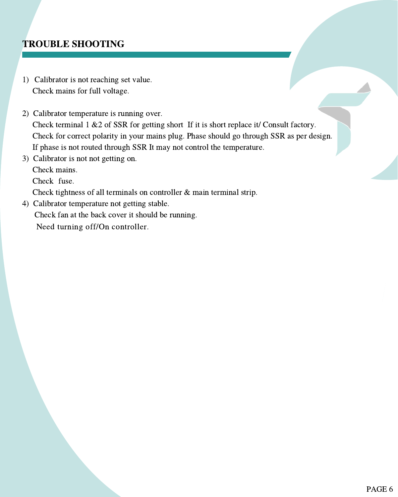## TROUBLE SHOOTING

- 1) Calibrator is not reaching set value. Check mains for full voltage.
- 2) Calibrator temperature is running over. Check terminal 1 &2 of SSR for getting short If it is short replace it/ Consult factory. Check for correct polarity in your mains plug. Phase should go through SSR as per design. If phase is not routed through SSR It may not control the temperature.
- 3) Calibrator is not not getting on. Check mains. Check fuse.

Check tightness of all terminals on controller & main terminal strip.

4) Calibrator temperature not getting stable. Check fan at the back cover it should be running. Need turning off/On controller.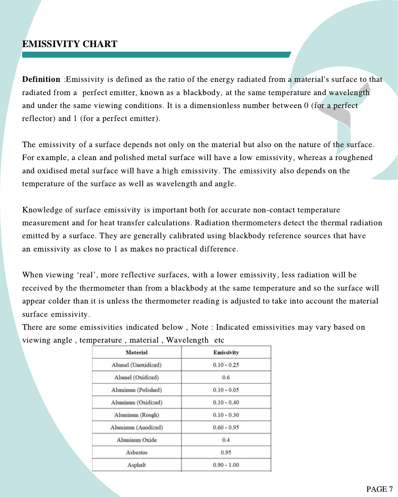Definition :Emissivity is defined as the ratio of the energy radiated from a material's surface to that radiated from a perfect emitter, known as a blackbody, at the same temperature and wavelength and under the same viewing conditions. It is a dimensionless number between 0 (for a perfect reflector) and 1 (for a perfect emitter).

The emissivity of a surface depends not only on the material but also on the nature of the surface. For example, a clean and polished metal surface will have a low emissivity, whereas a roughened and oxidised metal surface will have a high emissivity. The emissivity also depends on the temperature of the surface as well as wavelength and angle.

Knowledge of surface emissivity is important both for accurate non-contact temperature measurement and for heat transfer calculations. Radiation thermometers detect the thermal radiation emitted by a surface. They are generally calibrated using blackbody reference sources that have an emissivity as close to 1 as makes no practical difference.

When viewing 'real', more reflective surfaces, with a lower emissivity, less radiation will be received by the thermometer than from a blackbody at the same temperature and so the surface will appear colder than it is unless the thermometer reading is adjusted to take into account the material surface emissivity.

There are some emissivities indicated below , Note : Indicated emissivities may vary based on viewing angle , temperature , material , Wavelength etc

| Material            | Emissivity    |
|---------------------|---------------|
| Alumel (Unoxidized) | $0.10 - 0.25$ |
| Alumel (Oxidized)   | 0.6           |
| Aluminum (Polished) | $0.10 - 0.05$ |
| Aluminum (Oxidized) | $0.10 - 0.40$ |
| Aluminum (Rough)    | $0.10 - 0.30$ |
| Aluminum (Anodized) | $0.60 - 0.95$ |
| Aluminum Oxide      | 0.4           |
| Asbestos            | 0.95          |
| Asphalt             | $0.90 - 1.00$ |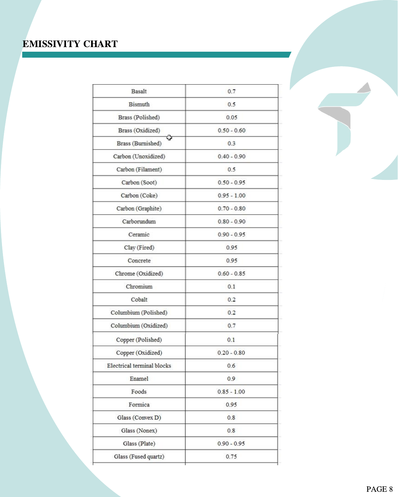| Basalt                     | 0.7           |
|----------------------------|---------------|
| Bismuth                    | 0.5           |
| Brass (Polished)           | 0.05          |
| Brass (Oxidized)           | $0.50 - 0.60$ |
| Φ<br>Brass (Burnished)     | 0.3           |
| Carbon (Unoxidized)        | $0.40 - 0.90$ |
| Carbon (Filament)          | 0.5           |
| Carbon (Soot)              | $0.50 - 0.95$ |
| Carbon (Coke)              | $0.95 - 1.00$ |
| Carbon (Graphite)          | $0.70 - 0.80$ |
| Carborundum                | $0.80 - 0.90$ |
| Ceramic                    | $0.90 - 0.95$ |
| Clay (Fired)               | 0.95          |
| Concrete                   | 0.95          |
| Chrome (Oxidized)          | $0.60 - 0.85$ |
| Chromium                   | 0.1           |
| Cobalt                     | 0.2           |
| Columbium (Polished)       | 0.2           |
| Columbium (Oxidized)       | 0.7           |
| Copper (Polished)          | 0.1           |
| Copper (Oxidized)          | $0.20 - 0.80$ |
| Electrical terminal blocks | 0.6           |
| Enamel                     | 0.9           |
| Foods                      | $0.85 - 1.00$ |
| Formica                    | 0.95          |
| Glass (Convex D)           | 0.8           |
| Glass (Nonex)              | 0.8           |
| Glass (Plate)              | $0.90 - 0.95$ |
| Glass (Fused quartz)       | 0.75          |
|                            |               |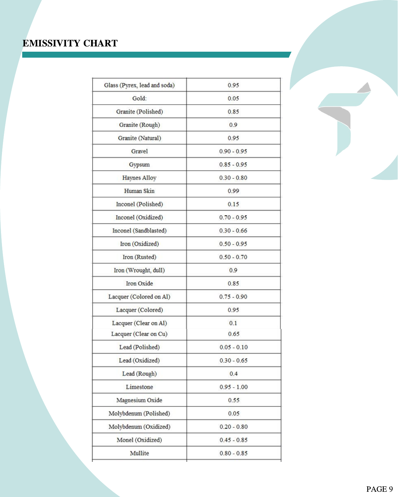| Glass (Pyrex, lead and soda) | 0.95          |
|------------------------------|---------------|
| Gold:                        | 0.05          |
| Granite (Polished)           | 0.85          |
| Granite (Rough)              | 0.9           |
| Granite (Natural)            | 0.95          |
| Gravel                       | $0.90 - 0.95$ |
| Gypsum                       | $0.85 - 0.95$ |
| <b>Haynes Alloy</b>          | $0.30 - 0.80$ |
| Human Skin                   | 0.99          |
| Inconel (Polished)           | 0.15          |
| Inconel (Oxidized)           | $0.70 - 0.95$ |
| Inconel (Sandblasted)        | $0.30 - 0.66$ |
| Iron (Oxidized)              | $0.50 - 0.95$ |
| Iron (Rusted)                | $0.50 - 0.70$ |
| Iron (Wrought, dull)         | 0.9           |
| Iron Oxide                   | 0.85          |
| Lacquer (Colored on Al)      | $0.75 - 0.90$ |
| Lacquer (Colored)            | 0.95          |
| Lacquer (Clear on Al)        | 0.1           |
| Lacquer (Clear on Cu)        | 0.65          |
| Lead (Polished)              | $0.05 - 0.10$ |
| Lead (Oxidized)              | $0.30 - 0.65$ |
| Lead (Rough)                 | 0.4           |
| Limestone                    | $0.95 - 1.00$ |
| Magnesium Oxide              | 0.55          |
| Molybdenum (Polished)        | 0.05          |
| Molybdenum (Oxidized)        | $0.20 - 0.80$ |
| Monel (Oxidized)             | $0.45 - 0.85$ |
| Mullite                      | $0.80 - 0.85$ |
|                              |               |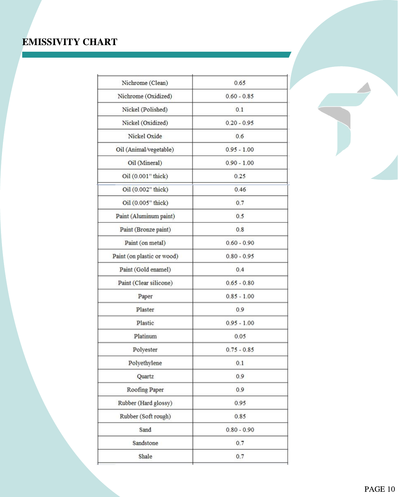| Nichrome (Clean)           | 0.65          |
|----------------------------|---------------|
| Nichrome (Oxidized)        | $0.60 - 0.85$ |
| Nickel (Polished)          | 0.1           |
| Nickel (Oxidized)          | $0.20 - 0.95$ |
| Nickel Oxide               | 0.6           |
| Oil (Animal/vegetable)     | $0.95 - 1.00$ |
| Oil (Mineral)              | $0.90 - 1.00$ |
| Oil (0.001" thick)         | 0.25          |
| Oil (0.002" thick)         | 0.46          |
| Oil (0.005" thick)         | 0.7           |
| Paint (Aluminum paint)     | 0.5           |
| Paint (Bronze paint)       | 0.8           |
| Paint (on metal)           | $0.60 - 0.90$ |
| Paint (on plastic or wood) | $0.80 - 0.95$ |
| Paint (Gold enamel)        | 0.4           |
| Paint (Clear silicone)     | $0.65 - 0.80$ |
| Paper                      | $0.85 - 1.00$ |
| Plaster                    | 0.9           |
| Plastic                    | $0.95 - 1.00$ |
| Platinum                   | 0.05          |
| Polyester                  | $0.75 - 0.85$ |
| Polyethylene               | 0.1           |
| Quartz                     | 0.9           |
| Roofing Paper              | 0.9           |
| Rubber (Hard glossy)       | 0.95          |
| Rubber (Soft rough)        | 0.85          |
| Sand                       | $0.80 - 0.90$ |
| Sandstone                  | 0.7           |
| Shale                      | 0.7           |
|                            |               |

PAGE 10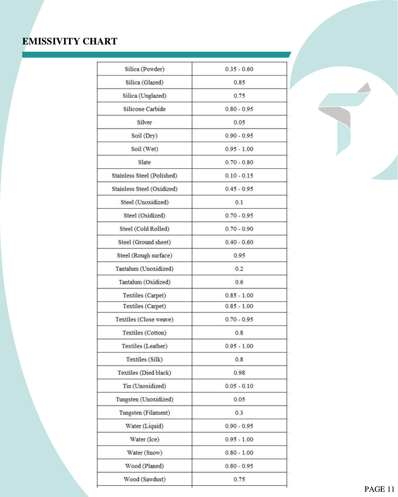| Silica (Powder)            | $0.35 - 0.60$ |
|----------------------------|---------------|
| Silica (Glazed)            | 0.85          |
| Silica (Unglazed)          | 0.75          |
| Silicone Carbide           | $0.80 - 0.95$ |
| Silver                     | 0.05          |
| Soil (Dry)                 | $0.90 - 0.95$ |
| Soil (Wet)                 | $0.95 - 1.00$ |
| Slate                      | $0.70 - 0.80$ |
| Stainless Steel (Polished) | $0.10 - 0.15$ |
| Stainless Steel (Oxidized) | $0.45 - 0.95$ |
| Steel (Unoxidized)         | 0.1           |
| Steel (Oxidized)           | $0.70 - 0.95$ |
| Steel (Cold Rolled)        | $0.70 - 0.90$ |
| Steel (Ground sheet)       | $0.40 - 0.60$ |
| Steel (Rough surface)      | 0.95          |
| Tantalum (Unoxidized)      | 0.2           |
| Tantalum (Oxidized)        | 0.6           |
| Textiles (Carpet)          | $0.85 - 1.00$ |
| Textiles (Carpet)          | $0.85 - 1.00$ |
| Textiles (Close weave)     | $0.70 - 0.95$ |
| Textiles (Cotton)          | 0.8           |
| Textiles (Leather)         | $0.95 - 1.00$ |
| Textiles (Silk)            | 0.8           |
| Textiles (Died black)      | 0.98          |
| Tin (Unoxidized)           | $0.05 - 0.10$ |
| Tungsten (Unoxidized)      | 0.05          |
| Tungsten (Filament)        | 0.3           |
| Water (Liquid)             | $0.90 - 0.95$ |
| Water (Ice)                | $0.95 - 1.00$ |
| Water (Snow)               | $0.80 - 1.00$ |
| Wood (Planed)              | $0.80 - 0.95$ |
| Wood (Sawdust)             | 0.75          |
|                            |               |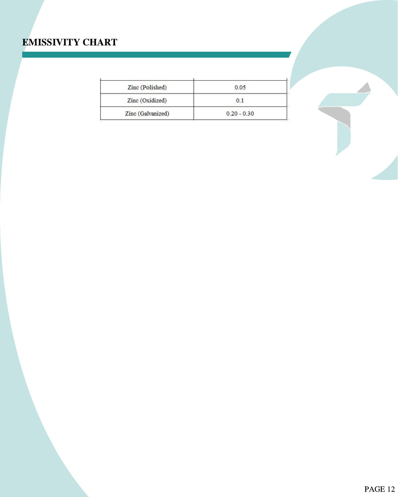| Zinc (Polished)   | 0.05          |
|-------------------|---------------|
| Zinc (Oxidized)   | 0.1           |
| Zinc (Galvanized) | $0.20 - 0.30$ |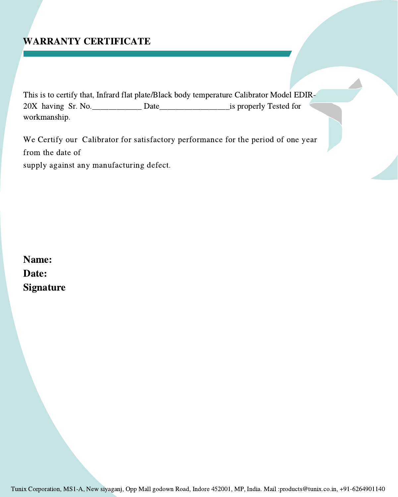## WARRANTY CERTIFICATE

This is to certify that, Infrard flat plate/Black body temperature Calibrator Model EDIR-20X having Sr. No. Date Date Blue and September 18 and September 1911 and September 1911 workmanship.

We Certify our Calibrator for satisfactory performance for the period of one year from the date of supply against any manufacturing defect.

Name: Date: **Signature**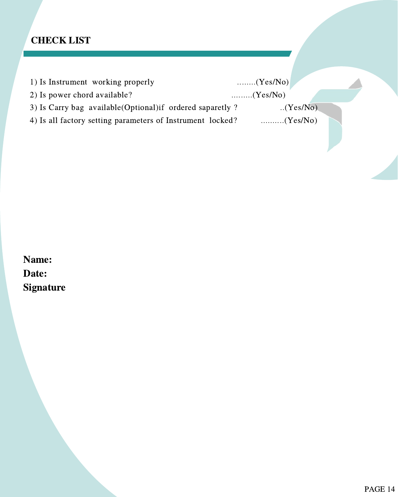# CHECK LIST

| 1) Is Instrument working properly                          | (Yes/No) |           |  |
|------------------------------------------------------------|----------|-----------|--|
| 2) Is power chord available?                               | (Yes/No) |           |  |
| 3) Is Carry bag available (Optional) if ordered saparetly? |          | .(Yes/No) |  |
| 4) Is all factory setting parameters of Instrument locked? | (Yes/No) |           |  |
|                                                            |          |           |  |

Name: Date: Signature